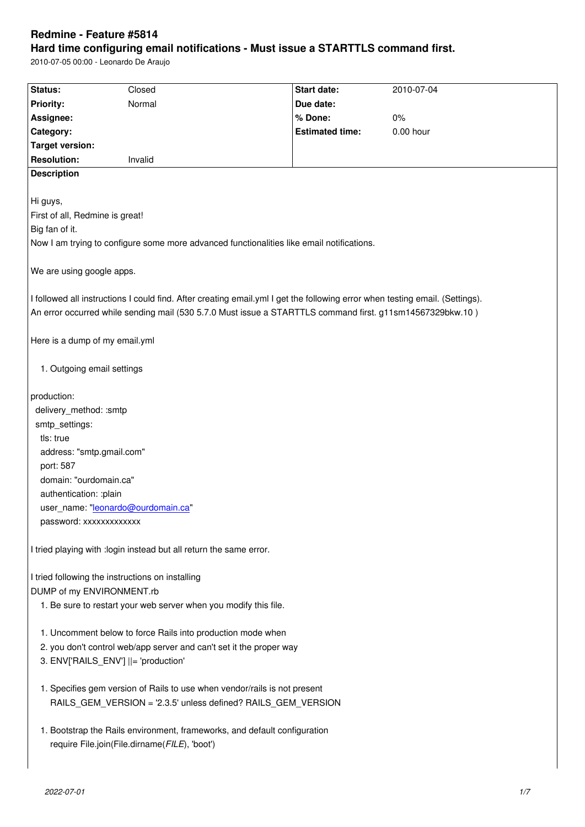#### **Hard time configuring email notifications - Must issue a STARTTLS command first.**

2010-07-05 00:00 - Leonardo De Araujo

| Status:                                                                                   | Closed                                                                                                                       | <b>Start date:</b>     | 2010-07-04 |  |  |
|-------------------------------------------------------------------------------------------|------------------------------------------------------------------------------------------------------------------------------|------------------------|------------|--|--|
| <b>Priority:</b>                                                                          | Normal                                                                                                                       | Due date:              |            |  |  |
| Assignee:                                                                                 |                                                                                                                              | % Done:                | $0\%$      |  |  |
| Category:                                                                                 |                                                                                                                              | <b>Estimated time:</b> | 0.00 hour  |  |  |
| <b>Target version:</b>                                                                    |                                                                                                                              |                        |            |  |  |
| <b>Resolution:</b>                                                                        | Invalid                                                                                                                      |                        |            |  |  |
| <b>Description</b>                                                                        |                                                                                                                              |                        |            |  |  |
|                                                                                           |                                                                                                                              |                        |            |  |  |
| Hi guys,                                                                                  |                                                                                                                              |                        |            |  |  |
| First of all, Redmine is great!                                                           |                                                                                                                              |                        |            |  |  |
| Big fan of it.                                                                            |                                                                                                                              |                        |            |  |  |
| Now I am trying to configure some more advanced functionalities like email notifications. |                                                                                                                              |                        |            |  |  |
|                                                                                           |                                                                                                                              |                        |            |  |  |
| We are using google apps.                                                                 |                                                                                                                              |                        |            |  |  |
|                                                                                           |                                                                                                                              |                        |            |  |  |
|                                                                                           | I followed all instructions I could find. After creating email.yml I get the following error when testing email. (Settings). |                        |            |  |  |
|                                                                                           | An error occurred while sending mail (530 5.7.0 Must issue a STARTTLS command first. g11sm14567329bkw.10)                    |                        |            |  |  |
|                                                                                           |                                                                                                                              |                        |            |  |  |
| Here is a dump of my email.yml                                                            |                                                                                                                              |                        |            |  |  |
|                                                                                           |                                                                                                                              |                        |            |  |  |
| 1. Outgoing email settings                                                                |                                                                                                                              |                        |            |  |  |
|                                                                                           |                                                                                                                              |                        |            |  |  |
| production:                                                                               |                                                                                                                              |                        |            |  |  |
| delivery_method: :smtp                                                                    |                                                                                                                              |                        |            |  |  |
| smtp_settings:                                                                            |                                                                                                                              |                        |            |  |  |
| tls: true                                                                                 |                                                                                                                              |                        |            |  |  |
| address: "smtp.gmail.com"                                                                 |                                                                                                                              |                        |            |  |  |
| port: 587                                                                                 |                                                                                                                              |                        |            |  |  |
| domain: "ourdomain.ca"                                                                    |                                                                                                                              |                        |            |  |  |
| authentication: :plain                                                                    |                                                                                                                              |                        |            |  |  |
| user_name: "leonardo@ourdomain.ca"                                                        |                                                                                                                              |                        |            |  |  |
| password: xxxxxxxxxxxx                                                                    |                                                                                                                              |                        |            |  |  |
|                                                                                           |                                                                                                                              |                        |            |  |  |
| I tried playing with : login instead but all return the same error.                       |                                                                                                                              |                        |            |  |  |
|                                                                                           |                                                                                                                              |                        |            |  |  |
| I tried following the instructions on installing                                          |                                                                                                                              |                        |            |  |  |
| DUMP of my ENVIRONMENT.rb                                                                 |                                                                                                                              |                        |            |  |  |
| 1. Be sure to restart your web server when you modify this file.                          |                                                                                                                              |                        |            |  |  |
|                                                                                           |                                                                                                                              |                        |            |  |  |
| 1. Uncomment below to force Rails into production mode when                               |                                                                                                                              |                        |            |  |  |
| 2. you don't control web/app server and can't set it the proper way                       |                                                                                                                              |                        |            |  |  |
| 3. ENV['RAILS_ENV']   = 'production'                                                      |                                                                                                                              |                        |            |  |  |
|                                                                                           |                                                                                                                              |                        |            |  |  |
| 1. Specifies gem version of Rails to use when vendor/rails is not present                 |                                                                                                                              |                        |            |  |  |
| RAILS_GEM_VERSION = '2.3.5' unless defined? RAILS_GEM_VERSION                             |                                                                                                                              |                        |            |  |  |
| 1. Bootstrap the Rails environment, frameworks, and default configuration                 |                                                                                                                              |                        |            |  |  |
|                                                                                           | require File.join(File.dirname(FILE), 'boot')                                                                                |                        |            |  |  |
|                                                                                           |                                                                                                                              |                        |            |  |  |
|                                                                                           |                                                                                                                              |                        |            |  |  |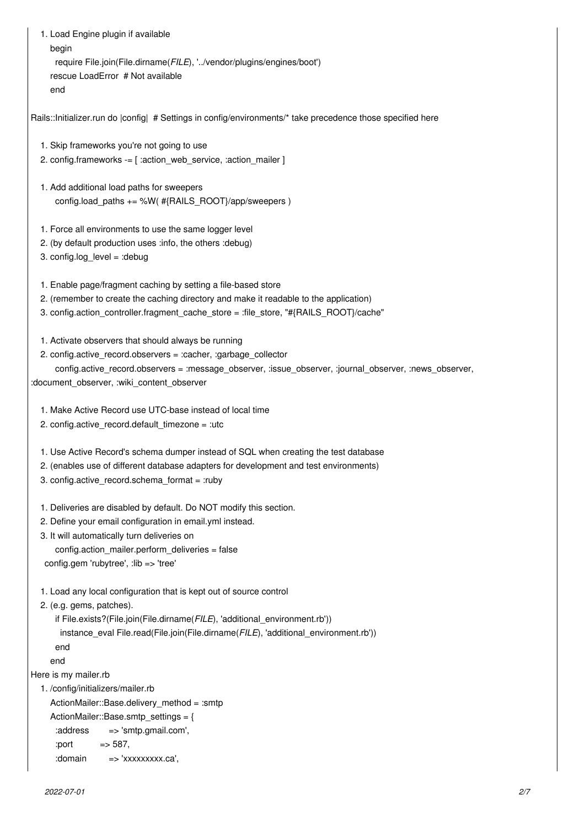| 1. Load Engine plugin if available<br>begin<br>require File.join(File.dirname(FILE), '/vendor/plugins/engines/boot')<br>rescue LoadError # Not available<br>end |
|-----------------------------------------------------------------------------------------------------------------------------------------------------------------|
| Rails::Initializer.run do  config  # Settings in config/environments/* take precedence those specified here                                                     |
| 1. Skip frameworks you're not going to use                                                                                                                      |
| 2. config.frameworks -= [:action_web_service, :action_mailer ]                                                                                                  |
| 1. Add additional load paths for sweepers<br>config.load_paths += %W( #{RAILS_ROOT}/app/sweepers)                                                               |
| 1. Force all environments to use the same logger level                                                                                                          |
| 2. (by default production uses :info, the others :debug)                                                                                                        |
| 3. config.log_level = :debug                                                                                                                                    |
| 1. Enable page/fragment caching by setting a file-based store                                                                                                   |
| 2. (remember to create the caching directory and make it readable to the application)                                                                           |
| 3. config.action_controller.fragment_cache_store = :file_store, "#{RAILS_ROOT}/cache"                                                                           |
|                                                                                                                                                                 |
| 1. Activate observers that should always be running                                                                                                             |
| 2. config.active_record.observers = :cacher, :garbage_collector                                                                                                 |
| config.active_record.observers = :message_observer, :issue_observer, :journal_observer, :news_observer,                                                         |
| :document_observer, :wiki_content_observer                                                                                                                      |
| 1. Make Active Record use UTC-base instead of local time<br>2. config.active_record.default_timezone = :utc                                                     |
|                                                                                                                                                                 |
| 1. Use Active Record's schema dumper instead of SQL when creating the test database                                                                             |
| 2. (enables use of different database adapters for development and test environments)                                                                           |
| 3. config.active_record.schema_format = :ruby                                                                                                                   |
| 1. Deliveries are disabled by default. Do NOT modify this section.                                                                                              |
| 2. Define your email configuration in email.yml instead.                                                                                                        |
| 3. It will automatically turn deliveries on                                                                                                                     |
| config.action mailer.perform deliveries = false                                                                                                                 |
| config.gem 'rubytree', :lib => 'tree'                                                                                                                           |
| 1. Load any local configuration that is kept out of source control                                                                                              |
| 2. (e.g. gems, patches).                                                                                                                                        |
| if File.exists?(File.join(File.dirname(FILE), 'additional_environment.rb'))                                                                                     |
| instance_eval File.read(File.join(File.dirname(FILE), 'additional_environment.rb'))                                                                             |
| end                                                                                                                                                             |
| end                                                                                                                                                             |
| Here is my mailer.rb                                                                                                                                            |
| 1. /config/initializers/mailer.rb                                                                                                                               |
| ActionMailer::Base.delivery_method = :smtp                                                                                                                      |
| ActionMailer::Base.smtp_settings = {<br>:address<br>=> 'smtp.gmail.com',                                                                                        |
| $\Rightarrow$ 587,<br>:port                                                                                                                                     |
| :domain                                                                                                                                                         |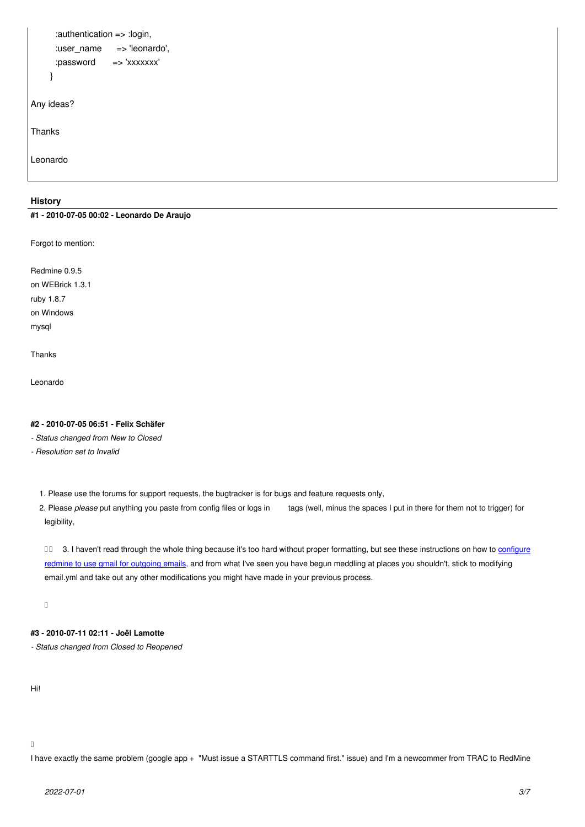| anm <del>er_idde</del> | <del>-&gt; iconaruo ,</del> |
|------------------------|-----------------------------|
| :password              | $\Rightarrow$ 'xxxxxxx'     |
|                        |                             |
|                        |                             |
| Any ideas?             |                             |
| Thanks                 |                             |
| Leonardo               |                             |
|                        |                             |

#### **History**

#### **#1 - 2010-07-05 00:02 - Leonardo De Araujo**

Forgot to mention:

Redmine 0.9.5 on WEBrick 1.3.1 ruby 1.8.7 on Windows mysql

Thanks

Leonardo

#### **#2 - 2010-07-05 06:51 - Felix Schäfer**

- *Status changed from New to Closed*
- *Resolution set to Invalid*
	- 1. Please use the forums for support requests, the bugtracker is for bugs and feature requests only,

 2. Please *please* put anything you paste from config files or logs in tags (well, minus the spaces I put in there for them not to trigger) for legibility,

0.1 3. I haven't read through the whole thing because it's too hard without proper formatting, but see these instructions on how to configure redmine to use gmail for outgoing emails, and from what I've seen you have begun meddling at places you shouldn't, stick to modifying email.yml and take out any other modifications you might have made in your previous process.

 $\Box$ 

# **#3 - 2010-07-11 02:11 - Joël Lamotte**

*- Status changed from Closed to Reopened*

Hi!

 $\Box$ 

I have exactly the same problem (google app + "Must issue a STARTTLS command first." issue) and I'm a newcommer from TRAC to RedMine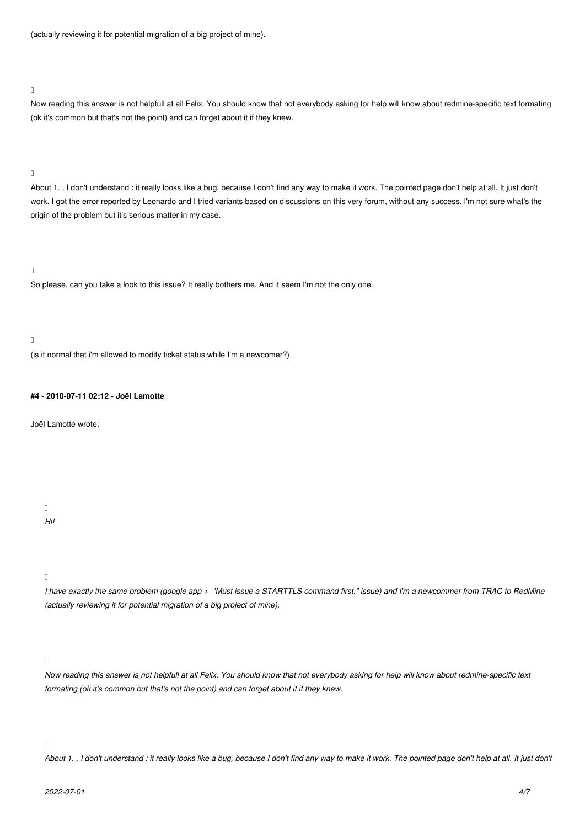(actually reviewing it for potential migration of a big project of mine).

 $\Box$ 

Now reading this answer is not helpfull at all Felix. You should know that not everybody asking for help will know about redmine-specific text formating (ok it's common but that's not the point) and can forget about it if they knew.

 $\Box$ 

About 1. , I don't understand : it really looks like a bug, because I don't find any way to make it work. The pointed page don't help at all. It just don't work. I got the error reported by Leonardo and I tried variants based on discussions on this very forum, without any success. I'm not sure what's the origin of the problem but it's serious matter in my case.

 $\Box$ 

So please, can you take a look to this issue? It really bothers me. And it seem I'm not the only one.

 $\overline{\mathsf{L}}$ 

(is it normal that i'm allowed to modify ticket status while I'm a newcomer?)

#### **#4 - 2010-07-11 02:12 - Joël Lamotte**

Joël Lamotte wrote:

 $\mathbb{I}$ 

# *Hi!*

 $\Box$ 

*I have exactly the same problem (google app + "Must issue a STARTTLS command first." issue) and I'm a newcommer from TRAC to RedMine (actually reviewing it for potential migration of a big project of mine).*

 $\Box$ 

*Now reading this answer is not helpfull at all Felix. You should know that not everybody asking for help will know about redmine-specific text formating (ok it's common but that's not the point) and can forget about it if they knew.*

#### $\Box$

*About 1. , I don't understand : it really looks like a bug, because I don't find any way to make it work. The pointed page don't help at all. It just don't*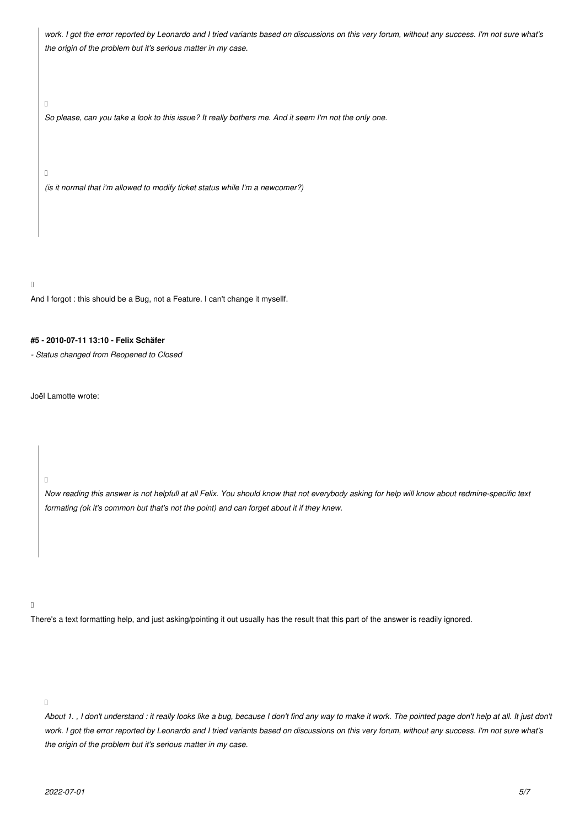*work. I got the error reported by Leonardo and I tried variants based on discussions on this very forum, without any success. I'm not sure what's the origin of the problem but it's serious matter in my case.*

*So please, can you take a look to this issue? It really bothers me. And it seem I'm not the only one.*

*(is it normal that i'm allowed to modify ticket status while I'm a newcomer?)*

 $\Box$ 

 $\Box$ 

And I forgot : this should be a Bug, not a Feature. I can't change it mysellf.

# **#5 - 2010-07-11 13:10 - Felix Schäfer**

*- Status changed from Reopened to Closed*

Joël Lamotte wrote:

*Now reading this answer is not helpfull at all Felix. You should know that not everybody asking for help will know about redmine-specific text formating (ok it's common but that's not the point) and can forget about it if they knew.*

#### $\Box$

There's a text formatting help, and just asking/pointing it out usually has the result that this part of the answer is readily ignored.

#### $\Box$

*About 1. , I don't understand : it really looks like a bug, because I don't find any way to make it work. The pointed page don't help at all. It just don't work. I got the error reported by Leonardo and I tried variants based on discussions on this very forum, without any success. I'm not sure what's the origin of the problem but it's serious matter in my case.*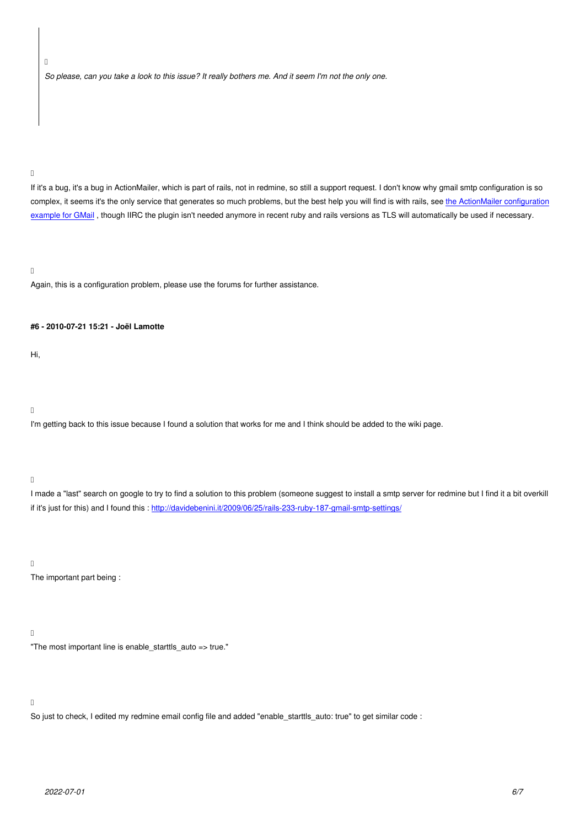*So please, can you take a look to this issue? It really bothers me. And it seem I'm not the only one.*

#### $\Box$

If it's a bug, it's a bug in ActionMailer, which is part of rails, not in redmine, so still a support request. I don't know why gmail smtp configuration is so complex, it seems it's the only service that generates so much problems, but the best help you will find is with rails, see the ActionMailer configuration example for GMail, though IIRC the plugin isn't needed anymore in recent ruby and rails versions as TLS will automatically be used if necessary.

#### $\begin{array}{c} \square \end{array}$

Again, this is a configuration problem, please use the forums for further assistance.

**#6 - 2010-07-21 15:21 - Joël Lamotte**

Hi,

 $\Box$ 

I'm getting back to this issue because I found a solution that works for me and I think should be added to the wiki page.

 $\Box$ 

I made a "last" search on google to try to find a solution to this problem (someone suggest to install a smtp server for redmine but I find it a bit overkill if it's just for this) and I found this : http://davidebenini.it/2009/06/25/rails-233-ruby-187-gmail-smtp-settings/

 $\Box$ 

The important part being :

### $\begin{array}{c} \square \end{array}$

"The most important line is enable\_starttls\_auto => true."

#### $\Box$

So just to check, I edited my redmine email config file and added "enable\_starttls\_auto: true" to get similar code :